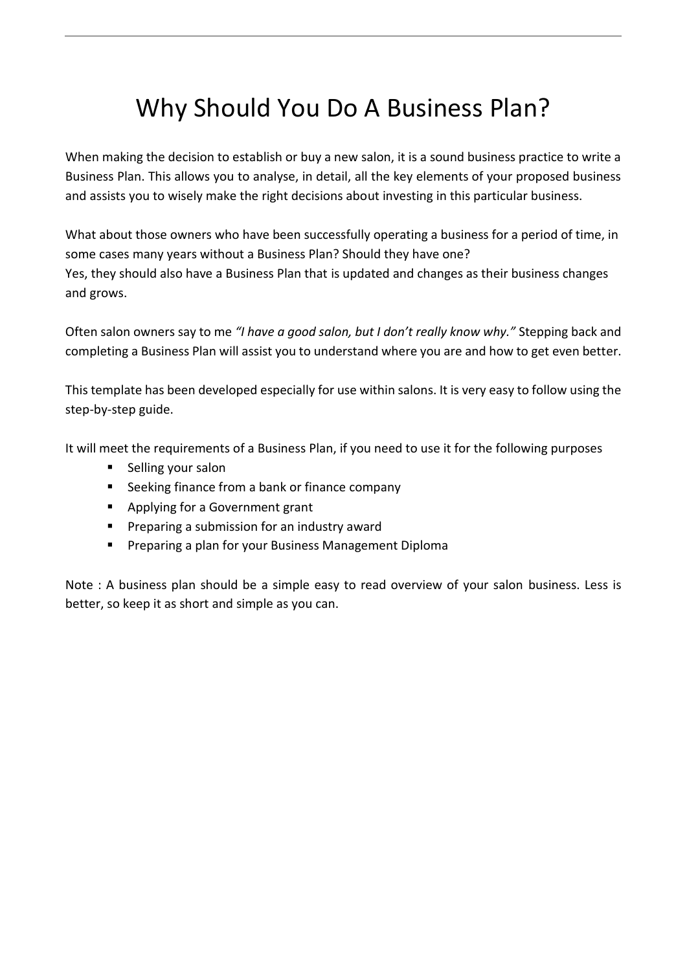# Why Should You Do A Business Plan?

When making the decision to establish or buy a new salon, it is a sound business practice to write a Business Plan. This allows you to analyse, in detail, all the key elements of your proposed business and assists you to wisely make the right decisions about investing in this particular business.

What about those owners who have been successfully operating a business for a period of time, in some cases many years without a Business Plan? Should they have one? Yes, they should also have a Business Plan that is updated and changes as their business changes and grows.

Often salon owners say to me *"I have a good salon, but I don't really know why."* Stepping back and completing a Business Plan will assist you to understand where you are and how to get even better.

This template has been developed especially for use within salons. It is very easy to follow using the step-by-step guide.

It will meet the requirements of a Business Plan, if you need to use it for the following purposes

- Selling your salon
- Seeking finance from a bank or finance company
- Applying for a Government grant
- Preparing a submission for an industry award
- Preparing a plan for your Business Management Diploma

Note : A business plan should be a simple easy to read overview of your salon business. Less is better, so keep it as short and simple as you can.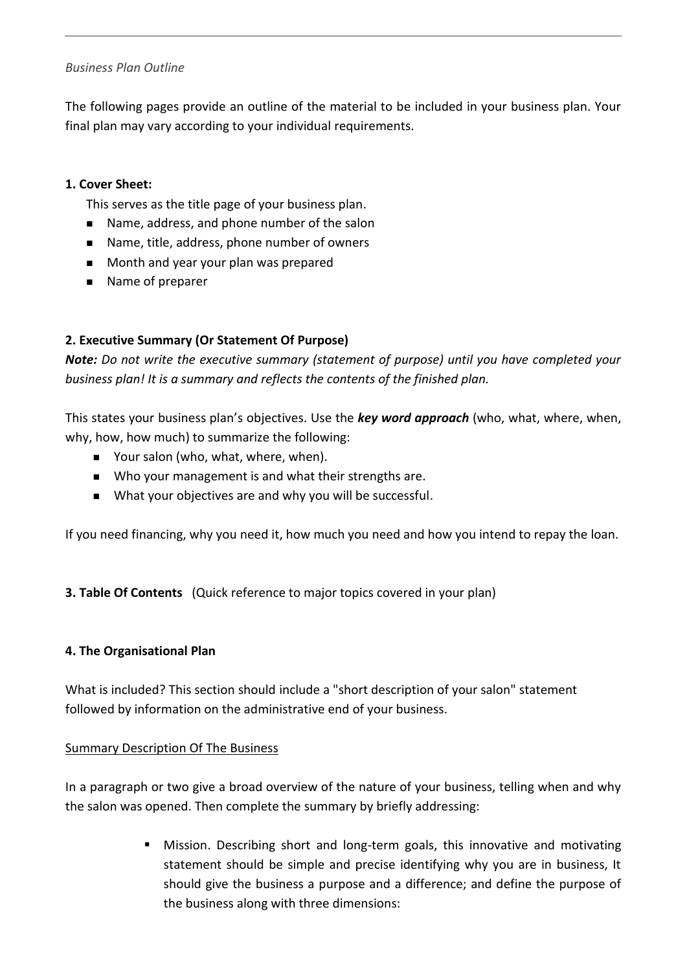## *Business Plan Outline*

The following pages provide an outline of the material to be included in your business plan. Your final plan may vary according to your individual requirements.

## **1. Cover Sheet:**

This serves as the title page of your business plan.

- Name, address, and phone number of the salon
- Name, title, address, phone number of owners
- Month and year your plan was prepared
- Name of preparer

# **2. Executive Summary (Or Statement Of Purpose)**

*Note: Do not write the executive summary (statement of purpose) until you have completed your business plan! It is a summary and reflects the contents of the finished plan.*

This states your business plan's objectives. Use the *key word approach* (who, what, where, when, why, how, how much) to summarize the following:

- Your salon (who, what, where, when).
- Who your management is and what their strengths are.
- What your objectives are and why you will be successful.

If you need financing, why you need it, how much you need and how you intend to repay the loan.

**3. Table Of Contents** (Quick reference to major topics covered in your plan)

## **4. The Organisational Plan**

What is included? This section should include a "short description of your salon" statement followed by information on the administrative end of your business.

#### Summary Description Of The Business

In a paragraph or two give a broad overview of the nature of your business, telling when and why the salon was opened. Then complete the summary by briefly addressing:

> Mission. Describing short and long-term goals, this innovative and motivating statement should be simple and precise identifying why you are in business, It should give the business a purpose and a difference; and define the purpose of the business along with three dimensions: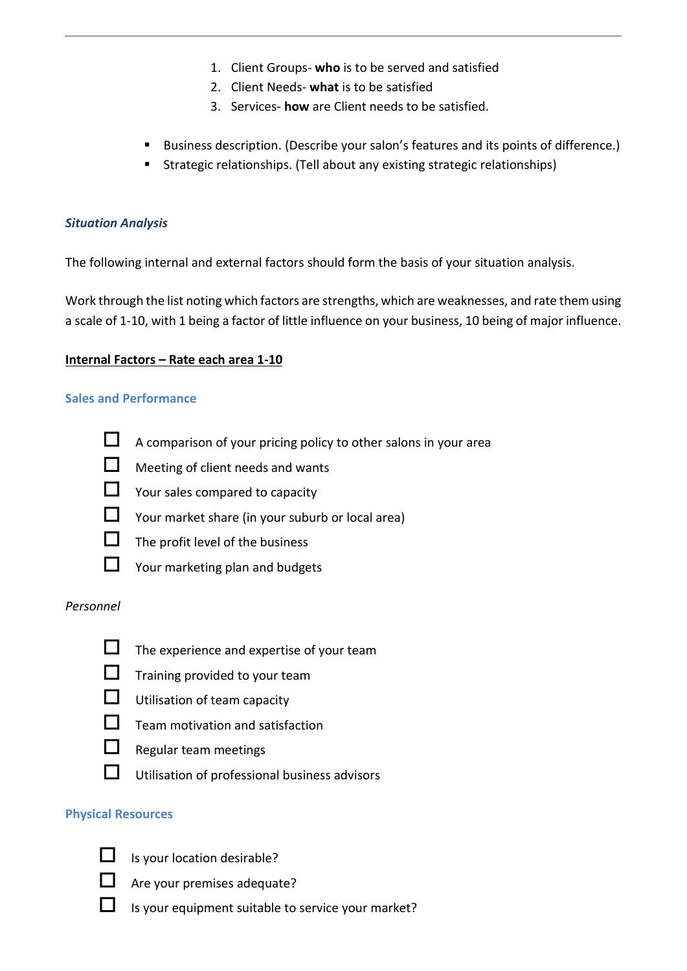- 1. Client Groups- **who** is to be served and satisfied
- 2. Client Needs- **what** is to be satisfied
- 3. Services- **how** are Client needs to be satisfied.
- Business description. (Describe your salon's features and its points of difference.)
- Strategic relationships. (Tell about any existing strategic relationships)

## *Situation Analysis*

The following internal and external factors should form the basis of your situation analysis.

Work through the list noting which factors are strengths, which are weaknesses, and rate them using a scale of 1-10, with 1 being a factor of little influence on your business, 10 being of major influence.

## **Internal Factors – Rate each area 1-10**

## **Sales and Performance**



 $\Box$  A comparison of your pricing policy to other salons in your area

- **Neeting of client needs and wants**
- Your sales compared to capacity
- Your market share (in your suburb or local area)
- $\Box$  The profit level of the business
- Your marketing plan and budgets

#### *Personnel*



- $\Box$  The experience and expertise of your team
- $\Box$  Training provided to your team
- **Utilisation of team capacity**
- $\Box$  Team motivation and satisfaction
	-
- $\Box$  Regular team meetings
- $\Box$  Utilisation of professional business advisors

#### **Physical Resources**



- Is your location desirable?
- Are your premises adequate?
- Is your equipment suitable to service your market?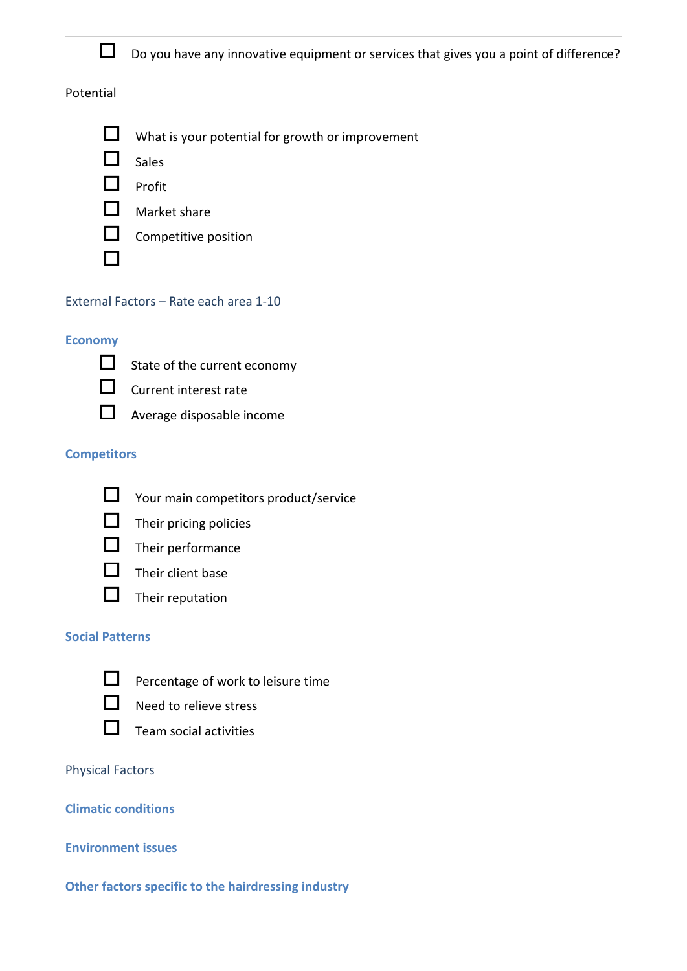

 $\square$  Do you have any innovative equipment or services that gives you a point of difference?

## Potential



 $\Box$  Sales



 $\Box$  Market share



## External Factors – Rate each area 1-10

#### **Economy**



П

- $\Box$  State of the current economy
- **C** Current interest rate
- 
- $\Box$  Average disposable income

## **Competitors**



- Your main competitors product/service
- $\Box$  Their pricing policies



- $\Box$  Their performance
- $\Box$  Their client base
- $\Box$  Their reputation

#### **Social Patterns**



- **D** Percentage of work to leisure time
- $\Box$  Need to relieve stress



 $\Box$  Team social activities

#### Physical Factors

# **Climatic conditions**

#### **Environment issues**

#### **Other factors specific to the hairdressing industry**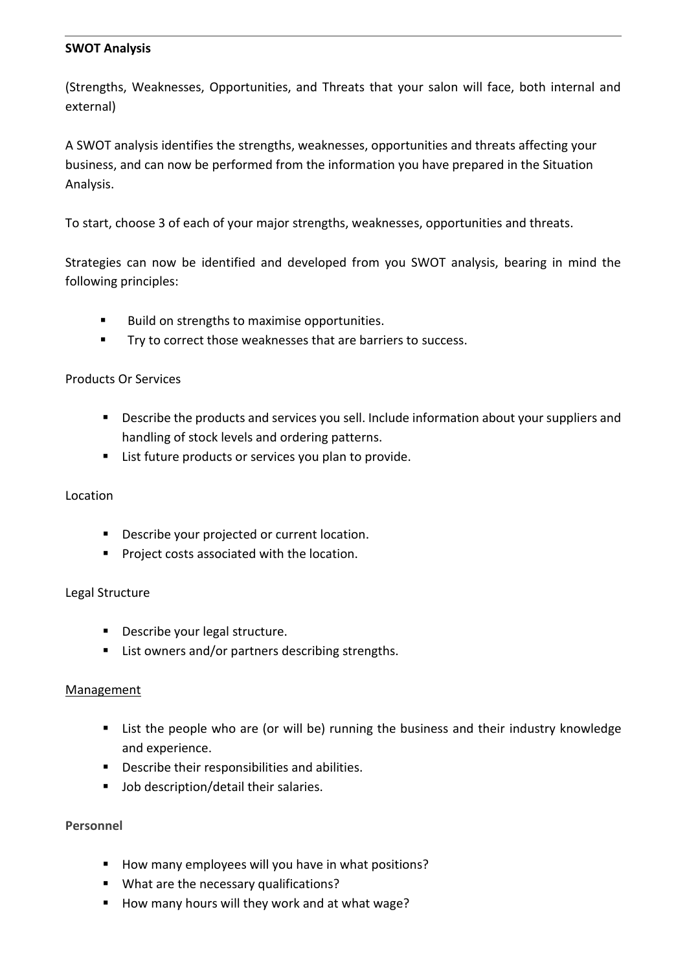#### **SWOT Analysis**

(Strengths, Weaknesses, Opportunities, and Threats that your salon will face, both internal and external)

A SWOT analysis identifies the strengths, weaknesses, opportunities and threats affecting your business, and can now be performed from the information you have prepared in the Situation Analysis.

To start, choose 3 of each of your major strengths, weaknesses, opportunities and threats.

Strategies can now be identified and developed from you SWOT analysis, bearing in mind the following principles:

- Build on strengths to maximise opportunities.
- Try to correct those weaknesses that are barriers to success.

## Products Or Services

- **•** Describe the products and services you sell. Include information about your suppliers and handling of stock levels and ordering patterns.
- List future products or services you plan to provide.

## Location

- Describe your projected or current location.
- Project costs associated with the location.

#### Legal Structure

- Describe your legal structure.
- List owners and/or partners describing strengths.

#### **Management**

- List the people who are (or will be) running the business and their industry knowledge and experience.
- Describe their responsibilities and abilities.
- Job description/detail their salaries.

#### **Personnel**

- How many employees will you have in what positions?
- What are the necessary qualifications?
- How many hours will they work and at what wage?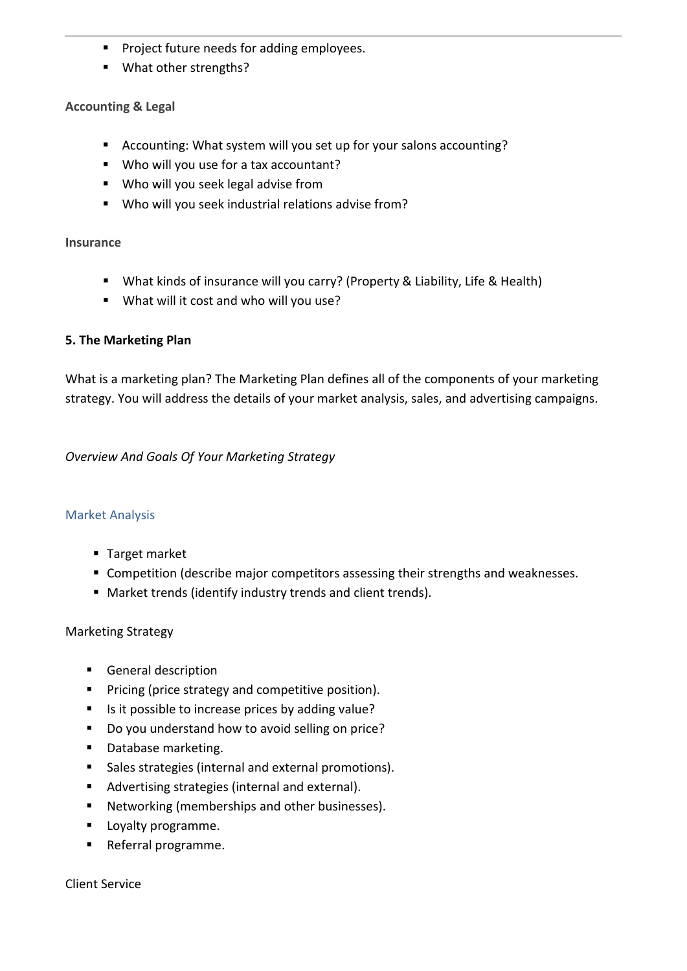- Project future needs for adding employees.
- What other strengths?

## **Accounting & Legal**

- Accounting: What system will you set up for your salons accounting?
- Who will you use for a tax accountant?
- Who will you seek legal advise from
- Who will you seek industrial relations advise from?

#### **Insurance**

- What kinds of insurance will you carry? (Property & Liability, Life & Health)
- What will it cost and who will you use?

## **5. The Marketing Plan**

What is a marketing plan? The Marketing Plan defines all of the components of your marketing strategy. You will address the details of your market analysis, sales, and advertising campaigns.

*Overview And Goals Of Your Marketing Strategy*

## Market Analysis

- Target market
- Competition (describe major competitors assessing their strengths and weaknesses.
- Market trends (identify industry trends and client trends).

## Marketing Strategy

- General description
- Pricing (price strategy and competitive position).
- Is it possible to increase prices by adding value?
- Do you understand how to avoid selling on price?
- Database marketing.
- Sales strategies (internal and external promotions).
- Advertising strategies (internal and external).
- Networking (memberships and other businesses).
- Loyalty programme.
- Referral programme.

Client Service